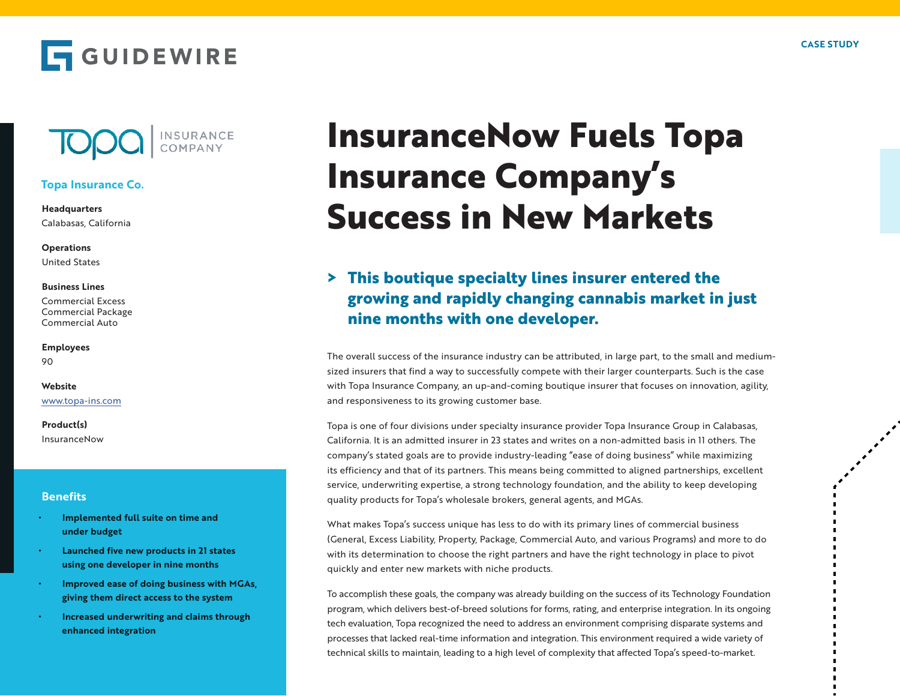





## **Topa Insurance Co.**

**Headquarters** Calabasas, California

**Operations** United States

#### **Business Lines**

Commercial Excess Commercial Package Commercial Auto

**Employees** 90

### **Website** www.topa-ins.com

**Product(s)** InsuranceNow

### **Benefits**

- **• Implemented full suite on time and under budget**
- **• Launched five new products in 21 states using one developer in nine months**
- **• Improved ease of doing business with MGAs, giving them direct access to the system**
- **• Increased underwriting and claims through enhanced integration**

# **InsuranceNow Fuels Topa Insurance Company's Success in New Markets**

# **> This boutique specialty lines insurer entered the growing and rapidly changing cannabis market in just nine months with one developer.**

The overall success of the insurance industry can be attributed, in large part, to the small and mediumsized insurers that find a way to successfully compete with their larger counterparts. Such is the case with Topa Insurance Company, an up-and-coming boutique insurer that focuses on innovation, agility, and responsiveness to its growing customer base.

Topa is one of four divisions under specialty insurance provider Topa Insurance Group in Calabasas, California. It is an admitted insurer in 23 states and writes on a non-admitted basis in 11 others. The company's stated goals are to provide industry-leading "ease of doing business" while maximizing its efficiency and that of its partners. This means being committed to aligned partnerships, excellent service, underwriting expertise, a strong technology foundation, and the ability to keep developing quality products for Topa's wholesale brokers, general agents, and MGAs.

What makes Topa's success unique has less to do with its primary lines of commercial business (General, Excess Liability, Property, Package, Commercial Auto, and various Programs) and more to do with its determination to choose the right partners and have the right technology in place to pivot quickly and enter new markets with niche products.

To accomplish these goals, the company was already building on the success of its Technology Foundation program, which delivers best-of-breed solutions for forms, rating, and enterprise integration. In its ongoing tech evaluation, Topa recognized the need to address an environment comprising disparate systems and processes that lacked real-time information and integration. This environment required a wide variety of technical skills to maintain, leading to a high level of complexity that affected Topa's speed-to-market.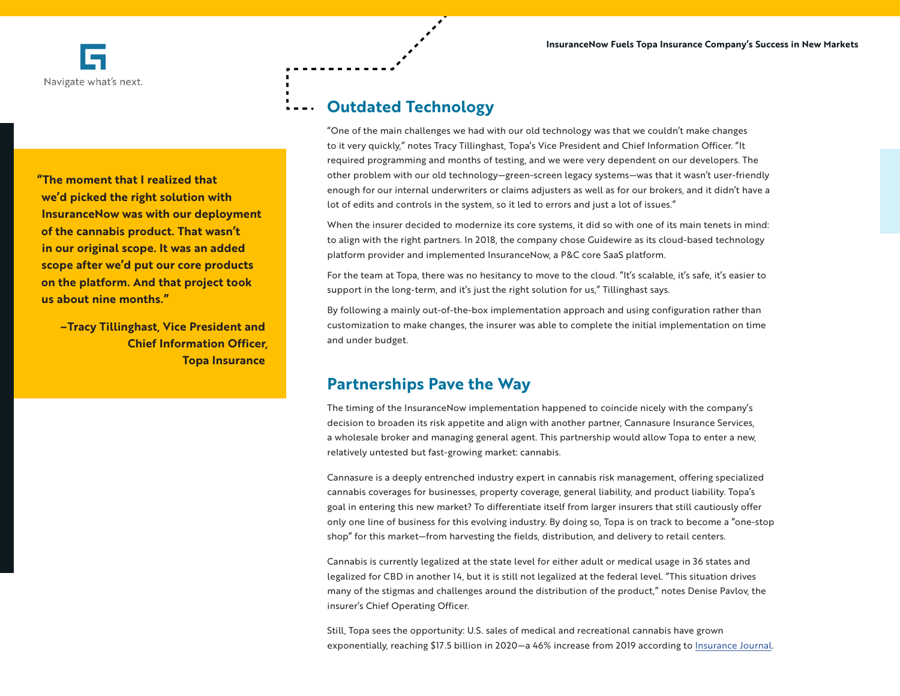**"The moment that I realized that we'd picked the right solution with InsuranceNow was with our deployment of the cannabis product. That wasn't in our original scope. It was an added scope after we'd put our core products on the platform. And that project took us about nine months."**

> **–Tracy Tillinghast, Vice President and Chief Information Officer, Topa Insurance**

## **Outdated Technology**

"One of the main challenges we had with our old technology was that we couldn't make changes to it very quickly," notes Tracy Tillinghast, Topa's Vice President and Chief Information Officer. "It required programming and months of testing, and we were very dependent on our developers. The other problem with our old technology—green-screen legacy systems—was that it wasn't user-friendly enough for our internal underwriters or claims adjusters as well as for our brokers, and it didn't have a lot of edits and controls in the system, so it led to errors and just a lot of issues."

When the insurer decided to modernize its core systems, it did so with one of its main tenets in mind: to align with the right partners. In 2018, the company chose Guidewire as its cloud-based technology platform provider and implemented InsuranceNow, a P&C core SaaS platform.

For the team at Topa, there was no hesitancy to move to the cloud. "It's scalable, it's safe, it's easier to support in the long-term, and it's just the right solution for us," Tillinghast says.

By following a mainly out-of-the-box implementation approach and using configuration rather than customization to make changes, the insurer was able to complete the initial implementation on time and under budget.

## **Partnerships Pave the Way**

The timing of the InsuranceNow implementation happened to coincide nicely with the company's decision to broaden its risk appetite and align with another partner, Cannasure Insurance Services, a wholesale broker and managing general agent. This partnership would allow Topa to enter a new, relatively untested but fast-growing market: cannabis.

Cannasure is a deeply entrenched industry expert in cannabis risk management, offering specialized cannabis coverages for businesses, property coverage, general liability, and product liability. Topa's goal in entering this new market? To differentiate itself from larger insurers that still cautiously offer only one line of business for this evolving industry. By doing so, Topa is on track to become a "one-stop shop" for this market—from harvesting the fields, distribution, and delivery to retail centers.

Cannabis is currently legalized at the state level for either adult or medical usage in 36 states and legalized for CBD in another 14, but it is still not legalized at the federal level. "This situation drives many of the stigmas and challenges around the distribution of the product," notes Denise Pavlov, the insurer's Chief Operating Officer.

Still, Topa sees the opportunity: U.S. sales of medical and recreational cannabis have grown exponentially, reaching \$17.5 billion in 2020—a 46% increase from 2019 according to Insurance Journal.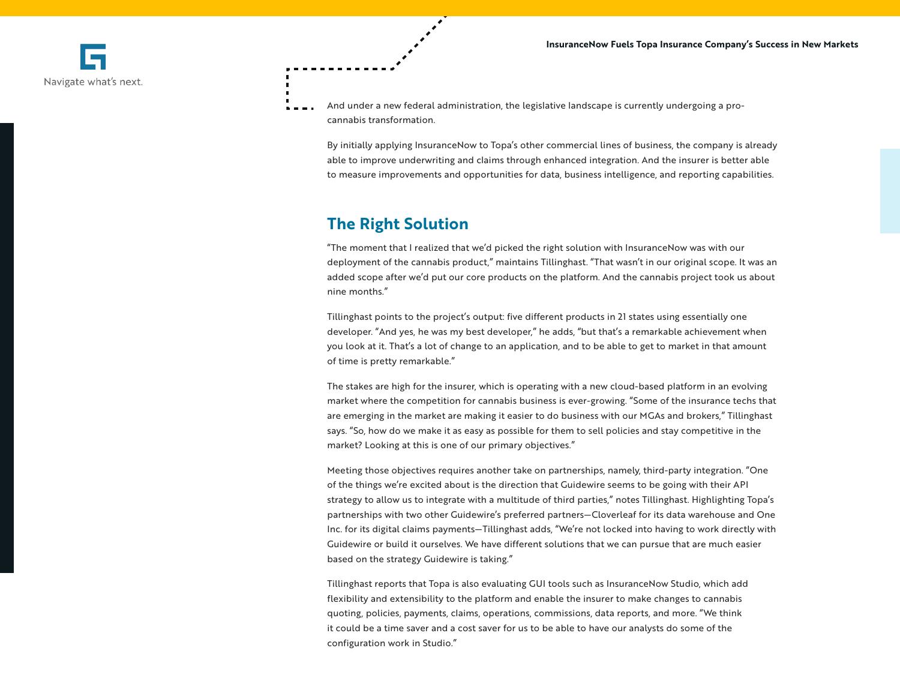Navigate what's next.

And under a new federal administration, the legislative landscape is currently undergoing a procannabis transformation.

By initially applying InsuranceNow to Topa's other commercial lines of business, the company is already able to improve underwriting and claims through enhanced integration. And the insurer is better able to measure improvements and opportunities for data, business intelligence, and reporting capabilities.

## **The Right Solution**

"The moment that I realized that we'd picked the right solution with InsuranceNow was with our deployment of the cannabis product," maintains Tillinghast. "That wasn't in our original scope. It was an added scope after we'd put our core products on the platform. And the cannabis project took us about nine months."

Tillinghast points to the project's output: five different products in 21 states using essentially one developer. "And yes, he was my best developer," he adds, "but that's a remarkable achievement when you look at it. That's a lot of change to an application, and to be able to get to market in that amount of time is pretty remarkable."

The stakes are high for the insurer, which is operating with a new cloud-based platform in an evolving market where the competition for cannabis business is ever-growing. "Some of the insurance techs that are emerging in the market are making it easier to do business with our MGAs and brokers," Tillinghast says. "So, how do we make it as easy as possible for them to sell policies and stay competitive in the market? Looking at this is one of our primary objectives."

Meeting those objectives requires another take on partnerships, namely, third-party integration. "One of the things we're excited about is the direction that Guidewire seems to be going with their API strategy to allow us to integrate with a multitude of third parties," notes Tillinghast. Highlighting Topa's partnerships with two other Guidewire's preferred partners—Cloverleaf for its data warehouse and One Inc. for its digital claims payments—Tillinghast adds, "We're not locked into having to work directly with Guidewire or build it ourselves. We have different solutions that we can pursue that are much easier based on the strategy Guidewire is taking."

Tillinghast reports that Topa is also evaluating GUI tools such as InsuranceNow Studio, which add flexibility and extensibility to the platform and enable the insurer to make changes to cannabis quoting, policies, payments, claims, operations, commissions, data reports, and more. "We think it could be a time saver and a cost saver for us to be able to have our analysts do some of the configuration work in Studio."